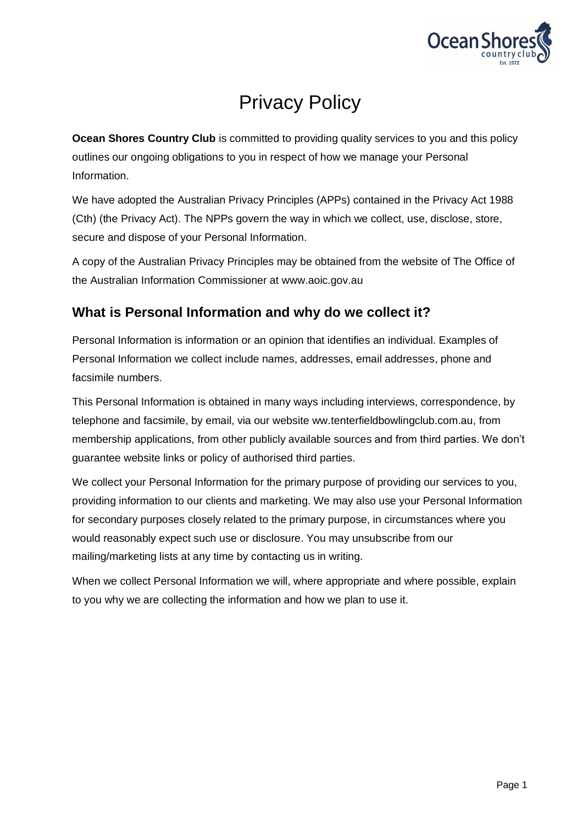

# Privacy Policy

**Ocean Shores Country Club** is committed to providing quality services to you and this policy outlines our ongoing obligations to you in respect of how we manage your Personal Information.

We have adopted the Australian Privacy Principles (APPs) contained in the Privacy Act 1988 (Cth) (the Privacy Act). The NPPs govern the way in which we collect, use, disclose, store, secure and dispose of your Personal Information.

A copy of the Australian Privacy Principles may be obtained from the website of The Office of the Australian Information Commissioner at www.aoic.gov.au

## **What is Personal Information and why do we collect it?**

Personal Information is information or an opinion that identifies an individual. Examples of Personal Information we collect include names, addresses, email addresses, phone and facsimile numbers.

This Personal Information is obtained in many ways including interviews, correspondence, by telephone and facsimile, by email, via our website ww.tenterfieldbowlingclub.com.au, from membership applications, from other publicly available sources and from third parties. We don't guarantee website links or policy of authorised third parties.

We collect your Personal Information for the primary purpose of providing our services to you, providing information to our clients and marketing. We may also use your Personal Information for secondary purposes closely related to the primary purpose, in circumstances where you would reasonably expect such use or disclosure. You may unsubscribe from our mailing/marketing lists at any time by contacting us in writing.

When we collect Personal Information we will, where appropriate and where possible, explain to you why we are collecting the information and how we plan to use it.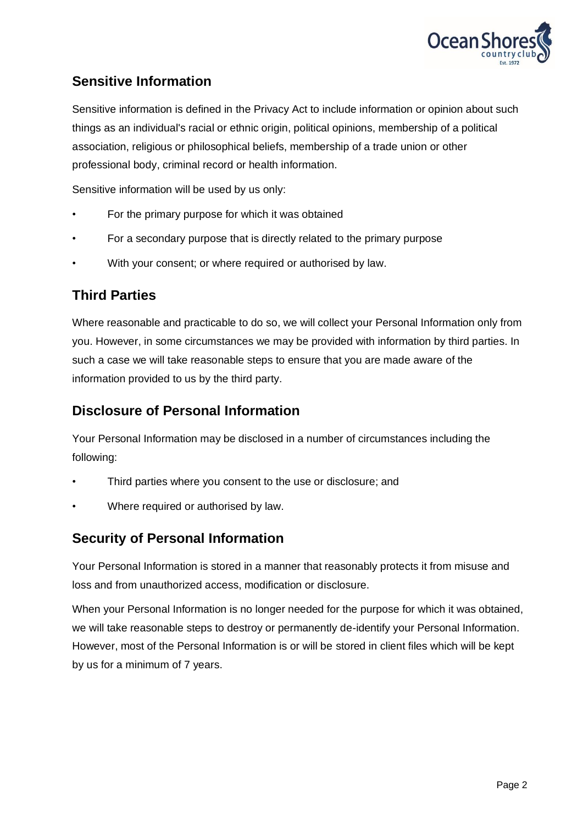

# **Sensitive Information**

Sensitive information is defined in the Privacy Act to include information or opinion about such things as an individual's racial or ethnic origin, political opinions, membership of a political association, religious or philosophical beliefs, membership of a trade union or other professional body, criminal record or health information.

Sensitive information will be used by us only:

- For the primary purpose for which it was obtained
- For a secondary purpose that is directly related to the primary purpose
- With your consent; or where required or authorised by law.

## **Third Parties**

Where reasonable and practicable to do so, we will collect your Personal Information only from you. However, in some circumstances we may be provided with information by third parties. In such a case we will take reasonable steps to ensure that you are made aware of the information provided to us by the third party.

## **Disclosure of Personal Information**

Your Personal Information may be disclosed in a number of circumstances including the following:

- Third parties where you consent to the use or disclosure; and
- Where required or authorised by law.

#### **Security of Personal Information**

Your Personal Information is stored in a manner that reasonably protects it from misuse and loss and from unauthorized access, modification or disclosure.

When your Personal Information is no longer needed for the purpose for which it was obtained, we will take reasonable steps to destroy or permanently de-identify your Personal Information. However, most of the Personal Information is or will be stored in client files which will be kept by us for a minimum of 7 years.